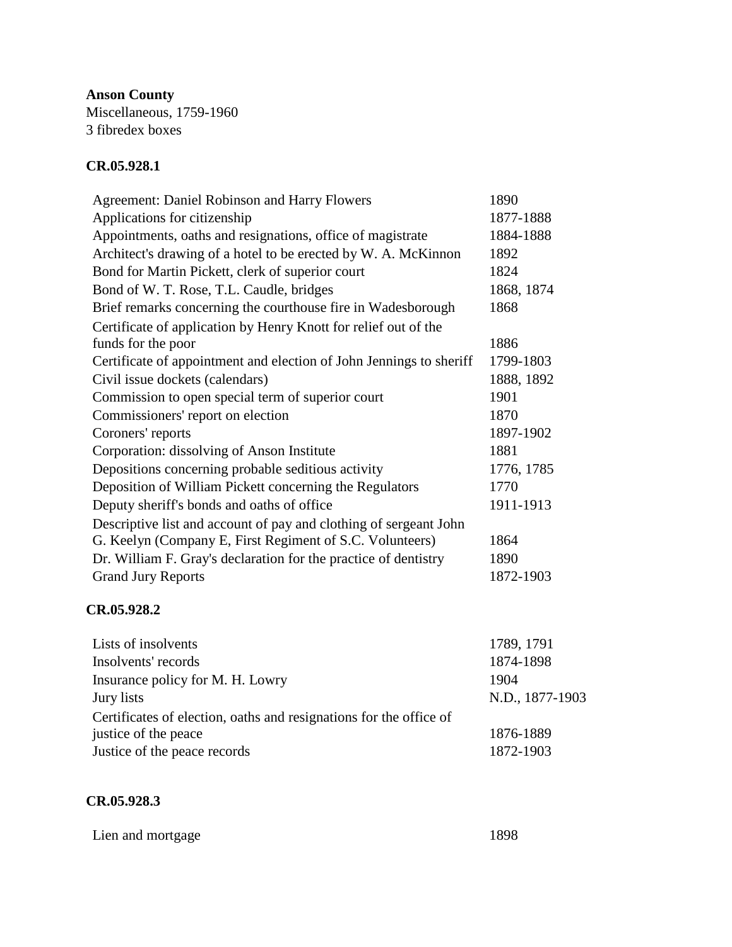**Anson County** Miscellaneous, 1759-1960 3 fibredex boxes

## **CR.05.928.1**

| <b>Agreement: Daniel Robinson and Harry Flowers</b>                 | 1890       |
|---------------------------------------------------------------------|------------|
| Applications for citizenship                                        | 1877-1888  |
| Appointments, oaths and resignations, office of magistrate          | 1884-1888  |
| Architect's drawing of a hotel to be erected by W. A. McKinnon      | 1892       |
| Bond for Martin Pickett, clerk of superior court                    | 1824       |
| Bond of W. T. Rose, T.L. Caudle, bridges                            | 1868, 1874 |
| Brief remarks concerning the courthouse fire in Wadesborough        | 1868       |
| Certificate of application by Henry Knott for relief out of the     |            |
| funds for the poor                                                  | 1886       |
| Certificate of appointment and election of John Jennings to sheriff | 1799-1803  |
| Civil issue dockets (calendars)                                     | 1888, 1892 |
| Commission to open special term of superior court                   | 1901       |
| Commissioners' report on election                                   | 1870       |
| Coroners' reports                                                   | 1897-1902  |
| Corporation: dissolving of Anson Institute                          | 1881       |
| Depositions concerning probable seditious activity                  | 1776, 1785 |
| Deposition of William Pickett concerning the Regulators             | 1770       |
| Deputy sheriff's bonds and oaths of office.                         | 1911-1913  |
| Descriptive list and account of pay and clothing of sergeant John   |            |
| G. Keelyn (Company E, First Regiment of S.C. Volunteers)            | 1864       |
| Dr. William F. Gray's declaration for the practice of dentistry     | 1890       |
| <b>Grand Jury Reports</b>                                           | 1872-1903  |

## **CR.05.928.2**

| Lists of insolvents                                                | 1789, 1791      |
|--------------------------------------------------------------------|-----------------|
| Insolvents' records                                                | 1874-1898       |
| Insurance policy for M. H. Lowry                                   | 1904            |
| Jury lists                                                         | N.D., 1877-1903 |
| Certificates of election, oaths and resignations for the office of |                 |
| justice of the peace                                               | 1876-1889       |
| Justice of the peace records                                       | 1872-1903       |

## **CR.05.928.3**

| Lien and mortgage | 1898 |
|-------------------|------|
|-------------------|------|